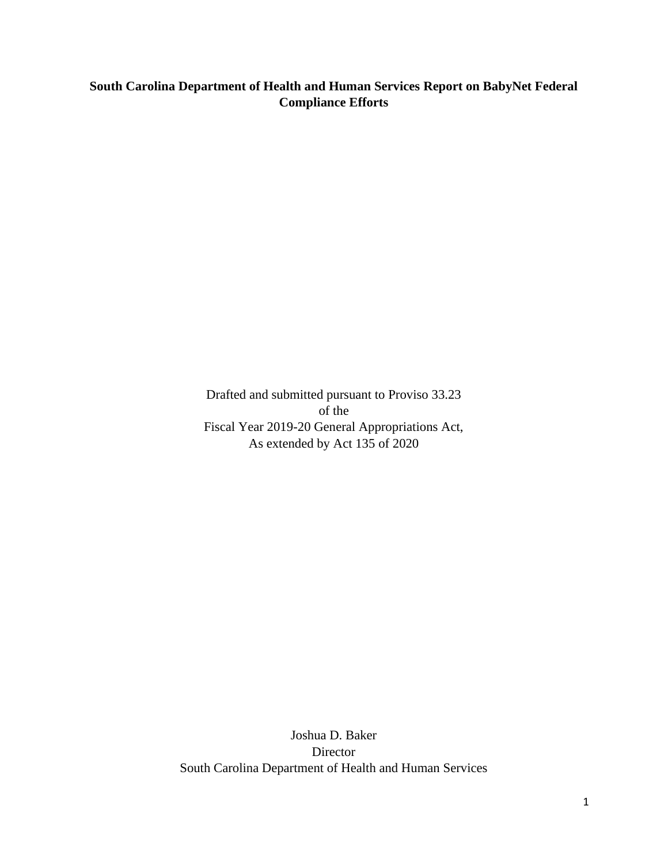# **South Carolina Department of Health and Human Services Report on BabyNet Federal Compliance Efforts**

Drafted and submitted pursuant to Proviso 33.23 of the Fiscal Year 2019-20 General Appropriations Act, As extended by Act 135 of 2020

Joshua D. Baker Director South Carolina Department of Health and Human Services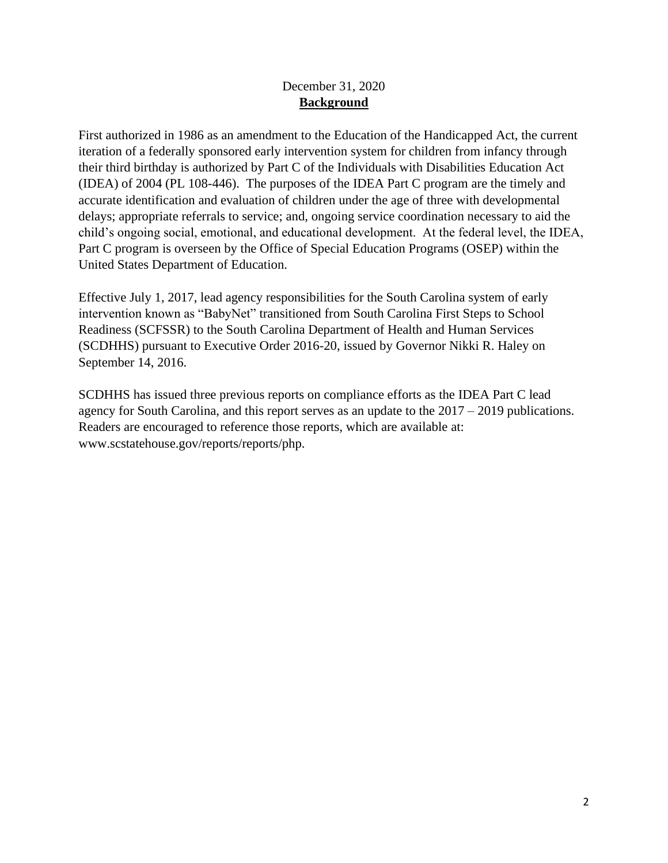### December 31, 2020 **Background**

First authorized in 1986 as an amendment to the Education of the Handicapped Act, the current iteration of a federally sponsored early intervention system for children from infancy through their third birthday is authorized by Part C of the Individuals with Disabilities Education Act (IDEA) of 2004 (PL 108-446). The purposes of the IDEA Part C program are the timely and accurate identification and evaluation of children under the age of three with developmental delays; appropriate referrals to service; and, ongoing service coordination necessary to aid the child's ongoing social, emotional, and educational development. At the federal level, the IDEA, Part C program is overseen by the Office of Special Education Programs (OSEP) within the United States Department of Education.

Effective July 1, 2017, lead agency responsibilities for the South Carolina system of early intervention known as "BabyNet" transitioned from South Carolina First Steps to School Readiness (SCFSSR) to the South Carolina Department of Health and Human Services (SCDHHS) pursuant to Executive Order 2016-20, issued by Governor Nikki R. Haley on September 14, 2016.

SCDHHS has issued three previous reports on compliance efforts as the IDEA Part C lead agency for South Carolina, and this report serves as an update to the 2017 – 2019 publications. Readers are encouraged to reference those reports, which are available at: www.scstatehouse.gov/reports/reports/php.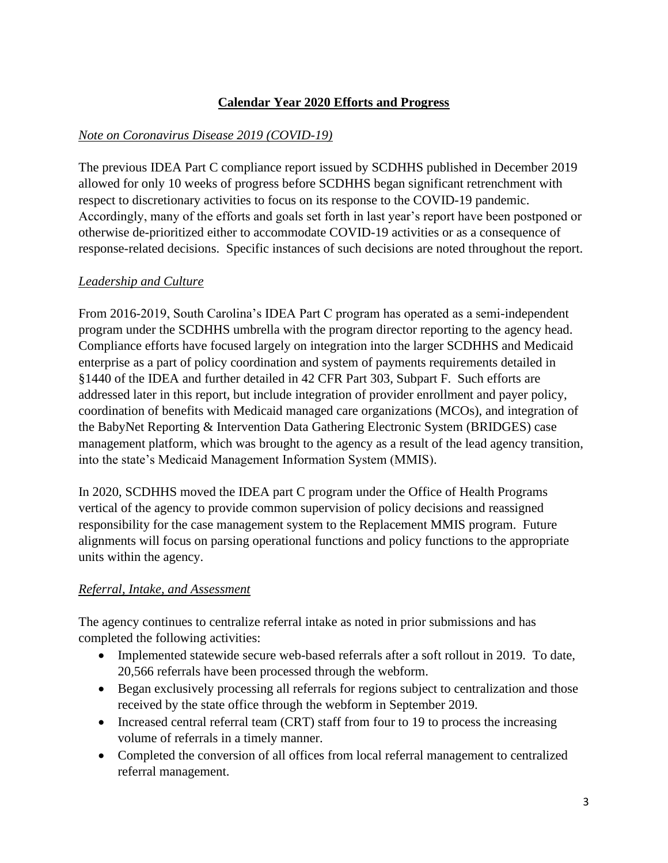## **Calendar Year 2020 Efforts and Progress**

### *Note on Coronavirus Disease 2019 (COVID-19)*

The previous IDEA Part C compliance report issued by SCDHHS published in December 2019 allowed for only 10 weeks of progress before SCDHHS began significant retrenchment with respect to discretionary activities to focus on its response to the COVID-19 pandemic. Accordingly, many of the efforts and goals set forth in last year's report have been postponed or otherwise de-prioritized either to accommodate COVID-19 activities or as a consequence of response-related decisions. Specific instances of such decisions are noted throughout the report.

## *Leadership and Culture*

From 2016-2019, South Carolina's IDEA Part C program has operated as a semi-independent program under the SCDHHS umbrella with the program director reporting to the agency head. Compliance efforts have focused largely on integration into the larger SCDHHS and Medicaid enterprise as a part of policy coordination and system of payments requirements detailed in §1440 of the IDEA and further detailed in 42 CFR Part 303, Subpart F. Such efforts are addressed later in this report, but include integration of provider enrollment and payer policy, coordination of benefits with Medicaid managed care organizations (MCOs), and integration of the BabyNet Reporting & Intervention Data Gathering Electronic System (BRIDGES) case management platform, which was brought to the agency as a result of the lead agency transition, into the state's Medicaid Management Information System (MMIS).

In 2020, SCDHHS moved the IDEA part C program under the Office of Health Programs vertical of the agency to provide common supervision of policy decisions and reassigned responsibility for the case management system to the Replacement MMIS program. Future alignments will focus on parsing operational functions and policy functions to the appropriate units within the agency.

### *Referral, Intake, and Assessment*

The agency continues to centralize referral intake as noted in prior submissions and has completed the following activities:

- Implemented statewide secure web-based referrals after a soft rollout in 2019. To date, 20,566 referrals have been processed through the webform.
- Began exclusively processing all referrals for regions subject to centralization and those received by the state office through the webform in September 2019.
- Increased central referral team (CRT) staff from four to 19 to process the increasing volume of referrals in a timely manner.
- Completed the conversion of all offices from local referral management to centralized referral management.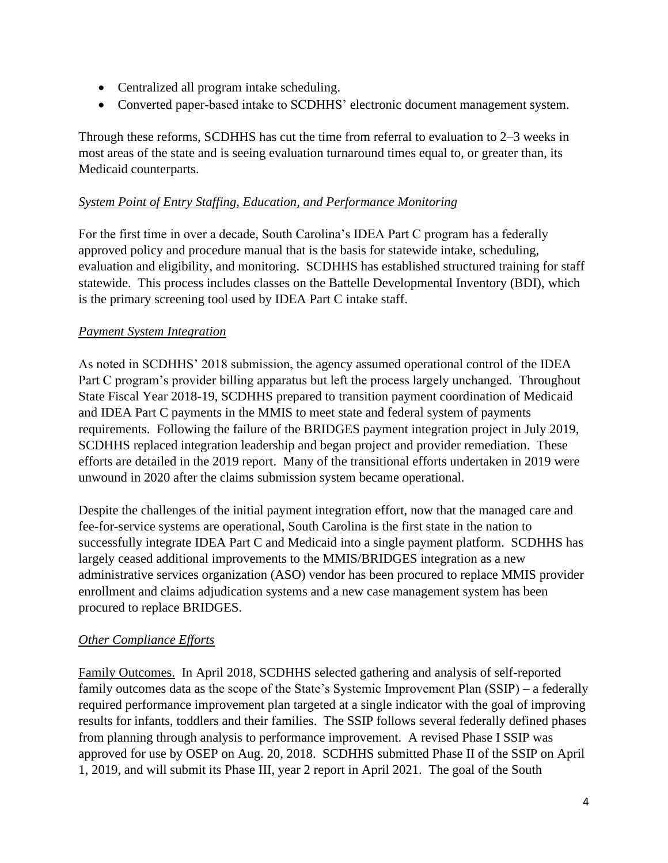- Centralized all program intake scheduling.
- Converted paper-based intake to SCDHHS' electronic document management system.

Through these reforms, SCDHHS has cut the time from referral to evaluation to 2–3 weeks in most areas of the state and is seeing evaluation turnaround times equal to, or greater than, its Medicaid counterparts.

### *System Point of Entry Staffing, Education, and Performance Monitoring*

For the first time in over a decade, South Carolina's IDEA Part C program has a federally approved policy and procedure manual that is the basis for statewide intake, scheduling, evaluation and eligibility, and monitoring. SCDHHS has established structured training for staff statewide. This process includes classes on the Battelle Developmental Inventory (BDI), which is the primary screening tool used by IDEA Part C intake staff.

### *Payment System Integration*

As noted in SCDHHS' 2018 submission, the agency assumed operational control of the IDEA Part C program's provider billing apparatus but left the process largely unchanged. Throughout State Fiscal Year 2018-19, SCDHHS prepared to transition payment coordination of Medicaid and IDEA Part C payments in the MMIS to meet state and federal system of payments requirements. Following the failure of the BRIDGES payment integration project in July 2019, SCDHHS replaced integration leadership and began project and provider remediation. These efforts are detailed in the 2019 report. Many of the transitional efforts undertaken in 2019 were unwound in 2020 after the claims submission system became operational.

Despite the challenges of the initial payment integration effort, now that the managed care and fee-for-service systems are operational, South Carolina is the first state in the nation to successfully integrate IDEA Part C and Medicaid into a single payment platform. SCDHHS has largely ceased additional improvements to the MMIS/BRIDGES integration as a new administrative services organization (ASO) vendor has been procured to replace MMIS provider enrollment and claims adjudication systems and a new case management system has been procured to replace BRIDGES.

### *Other Compliance Efforts*

Family Outcomes. In April 2018, SCDHHS selected gathering and analysis of self-reported family outcomes data as the scope of the State's Systemic Improvement Plan (SSIP) – a federally required performance improvement plan targeted at a single indicator with the goal of improving results for infants, toddlers and their families. The SSIP follows several federally defined phases from planning through analysis to performance improvement. A revised Phase I SSIP was approved for use by OSEP on Aug. 20, 2018. SCDHHS submitted Phase II of the SSIP on April 1, 2019, and will submit its Phase III, year 2 report in April 2021. The goal of the South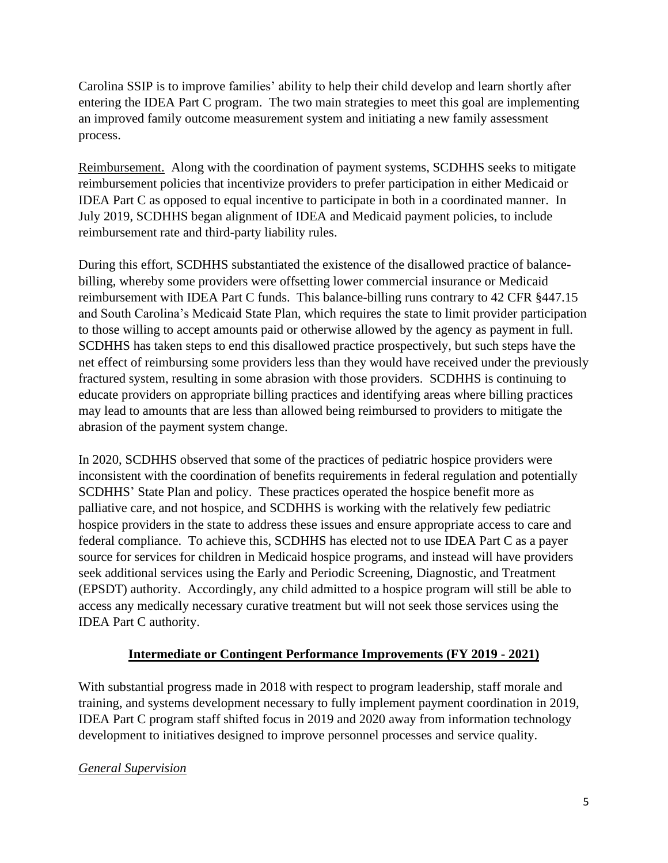Carolina SSIP is to improve families' ability to help their child develop and learn shortly after entering the IDEA Part C program. The two main strategies to meet this goal are implementing an improved family outcome measurement system and initiating a new family assessment process.

Reimbursement. Along with the coordination of payment systems, SCDHHS seeks to mitigate reimbursement policies that incentivize providers to prefer participation in either Medicaid or IDEA Part C as opposed to equal incentive to participate in both in a coordinated manner. In July 2019, SCDHHS began alignment of IDEA and Medicaid payment policies, to include reimbursement rate and third-party liability rules.

During this effort, SCDHHS substantiated the existence of the disallowed practice of balancebilling, whereby some providers were offsetting lower commercial insurance or Medicaid reimbursement with IDEA Part C funds. This balance-billing runs contrary to 42 CFR §447.15 and South Carolina's Medicaid State Plan, which requires the state to limit provider participation to those willing to accept amounts paid or otherwise allowed by the agency as payment in full. SCDHHS has taken steps to end this disallowed practice prospectively, but such steps have the net effect of reimbursing some providers less than they would have received under the previously fractured system, resulting in some abrasion with those providers. SCDHHS is continuing to educate providers on appropriate billing practices and identifying areas where billing practices may lead to amounts that are less than allowed being reimbursed to providers to mitigate the abrasion of the payment system change.

In 2020, SCDHHS observed that some of the practices of pediatric hospice providers were inconsistent with the coordination of benefits requirements in federal regulation and potentially SCDHHS' State Plan and policy. These practices operated the hospice benefit more as palliative care, and not hospice, and SCDHHS is working with the relatively few pediatric hospice providers in the state to address these issues and ensure appropriate access to care and federal compliance. To achieve this, SCDHHS has elected not to use IDEA Part C as a payer source for services for children in Medicaid hospice programs, and instead will have providers seek additional services using the Early and Periodic Screening, Diagnostic, and Treatment (EPSDT) authority. Accordingly, any child admitted to a hospice program will still be able to access any medically necessary curative treatment but will not seek those services using the IDEA Part C authority.

### **Intermediate or Contingent Performance Improvements (FY 2019 - 2021)**

With substantial progress made in 2018 with respect to program leadership, staff morale and training, and systems development necessary to fully implement payment coordination in 2019, IDEA Part C program staff shifted focus in 2019 and 2020 away from information technology development to initiatives designed to improve personnel processes and service quality.

#### *General Supervision*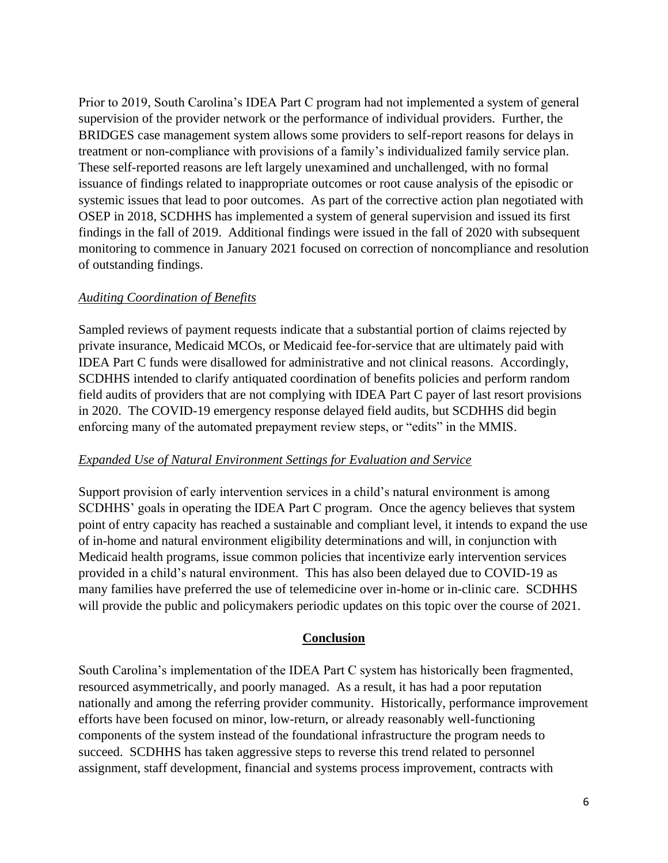Prior to 2019, South Carolina's IDEA Part C program had not implemented a system of general supervision of the provider network or the performance of individual providers. Further, the BRIDGES case management system allows some providers to self-report reasons for delays in treatment or non-compliance with provisions of a family's individualized family service plan. These self-reported reasons are left largely unexamined and unchallenged, with no formal issuance of findings related to inappropriate outcomes or root cause analysis of the episodic or systemic issues that lead to poor outcomes. As part of the corrective action plan negotiated with OSEP in 2018, SCDHHS has implemented a system of general supervision and issued its first findings in the fall of 2019. Additional findings were issued in the fall of 2020 with subsequent monitoring to commence in January 2021 focused on correction of noncompliance and resolution of outstanding findings.

#### *Auditing Coordination of Benefits*

Sampled reviews of payment requests indicate that a substantial portion of claims rejected by private insurance, Medicaid MCOs, or Medicaid fee-for-service that are ultimately paid with IDEA Part C funds were disallowed for administrative and not clinical reasons. Accordingly, SCDHHS intended to clarify antiquated coordination of benefits policies and perform random field audits of providers that are not complying with IDEA Part C payer of last resort provisions in 2020. The COVID-19 emergency response delayed field audits, but SCDHHS did begin enforcing many of the automated prepayment review steps, or "edits" in the MMIS.

#### *Expanded Use of Natural Environment Settings for Evaluation and Service*

Support provision of early intervention services in a child's natural environment is among SCDHHS' goals in operating the IDEA Part C program. Once the agency believes that system point of entry capacity has reached a sustainable and compliant level, it intends to expand the use of in-home and natural environment eligibility determinations and will, in conjunction with Medicaid health programs, issue common policies that incentivize early intervention services provided in a child's natural environment. This has also been delayed due to COVID-19 as many families have preferred the use of telemedicine over in-home or in-clinic care. SCDHHS will provide the public and policymakers periodic updates on this topic over the course of 2021.

#### **Conclusion**

South Carolina's implementation of the IDEA Part C system has historically been fragmented, resourced asymmetrically, and poorly managed. As a result, it has had a poor reputation nationally and among the referring provider community. Historically, performance improvement efforts have been focused on minor, low-return, or already reasonably well-functioning components of the system instead of the foundational infrastructure the program needs to succeed. SCDHHS has taken aggressive steps to reverse this trend related to personnel assignment, staff development, financial and systems process improvement, contracts with